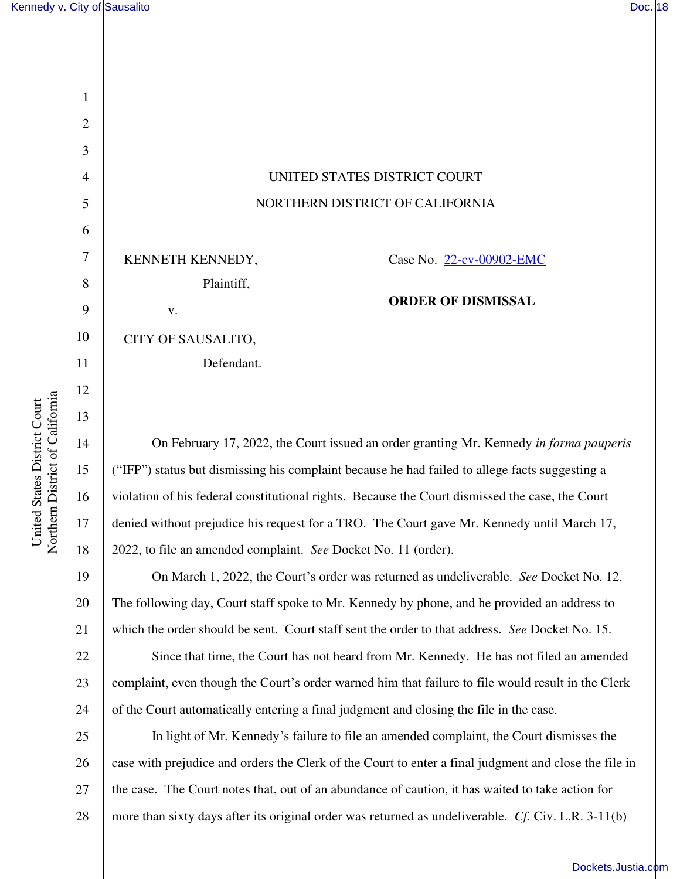1

2

3

4

5

6

7

8

9

10

11

12

13

14

15

16

17

18

19

20

21



KENNETH KENNEDY, Plaintiff, v.

CITY OF SAUSALITO,

Defendant.

Case No. 22-cv-00902-EMC

**ORDER OF DISMISSAL** 

On February 17, 2022, the Court issued an order granting Mr. Kennedy *in forma pauperis*  ("IFP") status but dismissing his complaint because he had failed to allege facts suggesting a violation of his federal constitutional rights. Because the Court dismissed the case, the Court denied without prejudice his request for a TRO. The Court gave Mr. Kennedy until March 17, 2022, to file an amended complaint. *See* Docket No. 11 (order).

On March 1, 2022, the Court's order was returned as undeliverable. *See* Docket No. 12. The following day, Court staff spoke to Mr. Kennedy by phone, and he provided an address to which the order should be sent. Court staff sent the order to that address. *See* Docket No. 15.

22 23 24 Since that time, the Court has not heard from Mr. Kennedy. He has not filed an amended complaint, even though the Court's order warned him that failure to file would result in the Clerk of the Court automatically entering a final judgment and closing the file in the case.

25 26 27 28 In light of Mr. Kennedy's failure to file an amended complaint, the Court dismisses the case with prejudice and orders the Clerk of the Court to enter a final judgment and close the file in the case. The Court notes that, out of an abundance of caution, it has waited to take action for more than sixty days after its original order was returned as undeliverable. *Cf.* Civ. L.R. 3-11(b)